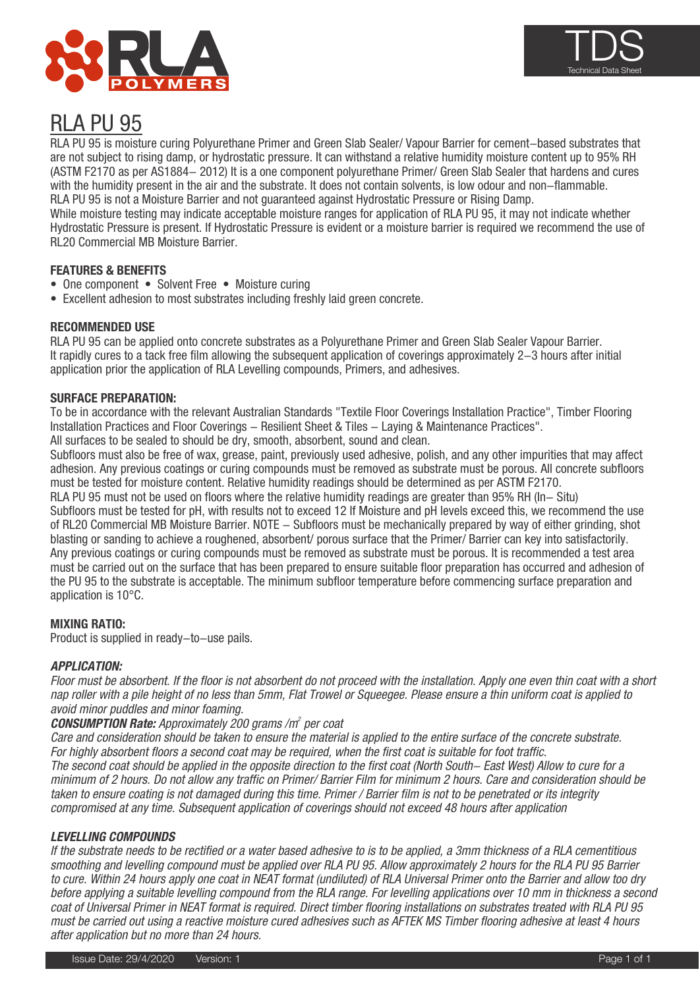



# RLA PU 95

with the humidity present in the air and the substrate. It does not contain solvents, is low odour and no<br>RLA PU 95 is not a Moisture Barrier and not guaranteed against Hydrostatic Pressure or Rising Damp. RLA PU 95 is moisture curing Polyurethane Primer and Green Slab Sealer/ Vapour Barrier for cement-based substrates that are not subject to rising damp, or hydrostatic pressure. It can withstand a relative humidity moisture content up to 95% RH (ASTM F2170 as per AS1884- 2012) It is a one component polyurethane Primer/ Green Slab Sealer that hardens and cures with the humidity present in the air and the substrate. It does not contain solvents, is low odour and non-flammable.

While moisture testing may indicate acceptable moisture ranges for application of RLA PU 95, it may not indicate whether Hydrostatic Pressure is present. If Hydrostatic Pressure is evident or a moisture barrier is required we recommend the use of RL20 Commercial MB Moisture Barrier.

## **FEATURES & BENEFITS**

- One component Solvent Free Moisture curing
- Excellent adhesion to most substrates including freshly laid green concrete.

#### **RECOMMENDED USE**

RLA PU 95 can be applied onto concrete substrates as a Polyurethane Primer and Green Slab Sealer Vapour Barrier. It rapidly cures to a tack free film allowing the subsequent application of coverings approximately 2-3 hours after initial application prior the application of RLA Levelling compounds, Primers, and adhesives.

#### **SURFACE PREPARATION:**

To be in accordance with the relevant Australian Standards "Textile Floor Coverings Installation Practice", Timber Flooring Installation Practices and Floor Coverings - Resilient Sheet & Tiles - Laying & Maintenance Practices". All surfaces to be sealed to should be dry, smooth, absorbent, sound and clean.

Subfloors must also be free of wax, grease, paint, previously used adhesive, polish, and any other impurities that may affect adhesion. Any previous coatings or curing compounds must be removed as substrate must be porous. All concrete subfloors must be tested for moisture content. Relative humidity readings should be determined as per ASTM F2170.

RLA PU 95 must not be used on floors where the relative humidity readings are greater than 95% RH (In- Situ) Subfloors must be tested for pH, with results not to exceed 12 If Moisture and pH levels exceed this, we recommend the use of RL20 Commercial MB Moisture Barrier. NOTE - Subfloors must be mechanically prepared by way of either grinding, shot blasting or sanding to achieve a roughened, absorbent/ porous surface that the Primer/ Barrier can key into satisfactorily. Any previous coatings or curing compounds must be removed as substrate must be porous. It is recommended a test area must be carried out on the surface that has been prepared to ensure suitable floor preparation has occurred and adhesion of the PU 95 to the substrate is acceptable. The minimum subfloor temperature before commencing surface preparation and application is 10°C.

## **MIXING RATIO:**

Product is supplied in ready-to-use pails.

## **APPLICATION:**

Floor must be absorbent. If the floor is not absorbent do not proceed with the installation. Apply one even thin coat with a short nap roller with a pile height of no less than 5mm, Flat Trowel or Squeegee. Please ensure a thin uniform coat is applied to avoid minor puddles and minor foaming.

#### **CONSUMPTION Rate:** Approximately 200 grams /m<sup>2</sup> per coat

Care and consideration should be taken to ensure the material is applied to the entire surface of the concrete substrate. For highly absorbent floors a second coat may be required, when the first coat is suitable for foot traffic. The second coat should be applied in the opposite direction to the first coat (North South- East West) Allow to cure for a minimum of 2 hours. Do not allow any traffic on Primer/ Barrier Film for minimum 2 hours. Care and consideration should be taken to ensure coating is not damaged during this time. Primer / Barrier film is not to be penetrated or its integrity compromised at any time. Subsequent application of coverings should not exceed 48 hours after application

#### **LEVELLING COMPOUNDS**

If the substrate needs to be rectified or a water based adhesive to is to be applied, a 3mm thickness of a RLA cementitious smoothing and levelling compound must be applied over RLA PU 95. Allow approximately 2 hours for the RLA PU 95 Barrier to cure. Within 24 hours apply one coat in NEAT format (undiluted) of RLA Universal Primer onto the Barrier and allow too dry before applying a suitable levelling compound from the RLA range. For levelling applications over 10 mm in thickness a second coat of Universal Primer in NEAT format is required. Direct timber flooring installations on substrates treated with RLA PU 95 must be carried out using a reactive moisture cured adhesives such as AFTEK MS Timber flooring adhesive at least 4 hours after application but no more than 24 hours.